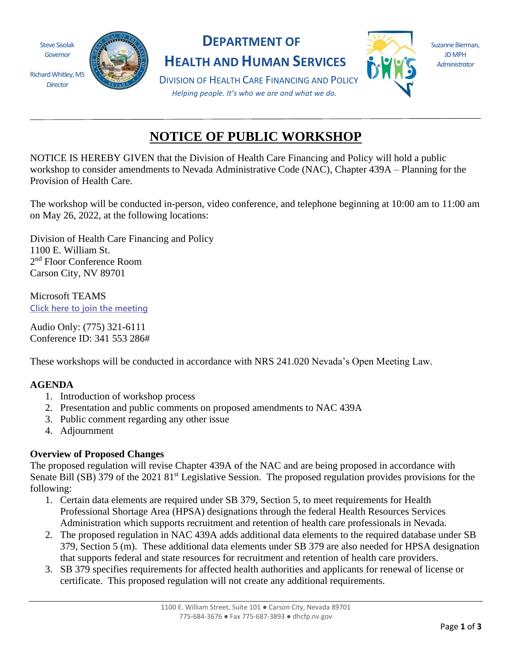

*Director*



# **DEPARTMENT OF**

**HEALTH AND HUMAN SERVICES**



Suzanne Bierman, JD MPH *Administrator*

DIVISION OF HEALTH CARE FINANCING AND POLICY *Helping people. It's who we are and what we do.*

# **NOTICE OF PUBLIC WORKSHOP**

NOTICE IS HEREBY GIVEN that the Division of Health Care Financing and Policy will hold a public workshop to consider amendments to Nevada Administrative Code (NAC), Chapter 439A – Planning for the Provision of Health Care.

The workshop will be conducted in-person, video conference, and telephone beginning at 10:00 am to 11:00 am on May 26, 2022, at the following locations:

Division of Health Care Financing and Policy 1100 E. William St. 2<sup>nd</sup> Floor Conference Room Carson City, NV 89701

Microsoft TEAMS **[Click here to join the meeting](https://teams.microsoft.com/l/meetup-join/19%3ameeting_OTQ2NzMyMTMtOWYzYS00OGVmLTlhYzUtNGNhODgwNmJjOGNj%40thread.v2/0?context=%7b%22Tid%22%3a%22e4a340e6-b89e-4e68-8eaa-1544d2703980%22%2c%22Oid%22%3a%22ed17f770-c119-4504-b6f3-3095ac13d585%22%7d)**

Audio Only: (775) 321-6111 Conference ID: 341 553 286#

These workshops will be conducted in accordance with NRS 241.020 Nevada's Open Meeting Law.

## **AGENDA**

- 1. Introduction of workshop process
- 2. Presentation and public comments on proposed amendments to NAC 439A
- 3. Public comment regarding any other issue
- 4. Adjournment

#### **Overview of Proposed Changes**

The proposed regulation will revise Chapter 439A of the NAC and are being proposed in accordance with Senate Bill (SB) 379 of the 2021 81<sup>st</sup> Legislative Session. The proposed regulation provides provisions for the following:

- 1. Certain data elements are required under SB 379, Section 5, to meet requirements for Health Professional Shortage Area (HPSA) designations through the federal Health Resources Services Administration which supports recruitment and retention of health care professionals in Nevada.
- 2. The proposed regulation in NAC 439A adds additional data elements to the required database under SB 379, Section 5 (m). These additional data elements under SB 379 are also needed for HPSA designation that supports federal and state resources for recruitment and retention of health care providers.
- 3. SB 379 specifies requirements for affected health authorities and applicants for renewal of license or certificate. This proposed regulation will not create any additional requirements.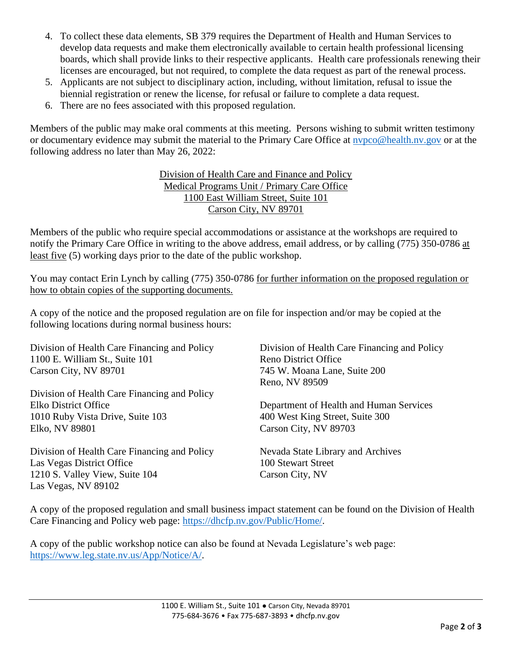- 4. To collect these data elements, SB 379 requires the Department of Health and Human Services to develop data requests and make them electronically available to certain health professional licensing boards, which shall provide links to their respective applicants. Health care professionals renewing their licenses are encouraged, but not required, to complete the data request as part of the renewal process.
- 5. Applicants are not subject to disciplinary action, including, without limitation, refusal to issue the biennial registration or renew the license, for refusal or failure to complete a data request.
- 6. There are no fees associated with this proposed regulation.

Members of the public may make oral comments at this meeting. Persons wishing to submit written testimony or documentary evidence may submit the material to the Primary Care Office at [nvpco@health.nv.gov](mailto:nvpco@health.nv.gov) or at the following address no later than May 26, 2022:

> Division of Health Care and Finance and Policy Medical Programs Unit / Primary Care Office 1100 East William Street, Suite 101 Carson City, NV 89701

Members of the public who require special accommodations or assistance at the workshops are required to notify the Primary Care Office in writing to the above address, email address, or by calling (775) 350-0786 at least five (5) working days prior to the date of the public workshop.

You may contact Erin Lynch by calling (775) 350-0786 for further information on the proposed regulation or how to obtain copies of the supporting documents.

A copy of the notice and the proposed regulation are on file for inspection and/or may be copied at the following locations during normal business hours:

| Division of Health Care Financing and Policy<br>1100 E. William St., Suite 101<br>Carson City, NV 89701 | Division of Health Care Financing and Policy<br><b>Reno District Office</b><br>745 W. Moana Lane, Suite 200<br>Reno, NV 89509 |
|---------------------------------------------------------------------------------------------------------|-------------------------------------------------------------------------------------------------------------------------------|
| Division of Health Care Financing and Policy                                                            |                                                                                                                               |
| Elko District Office                                                                                    | Department of Health and Human Services                                                                                       |
| 1010 Ruby Vista Drive, Suite 103                                                                        | 400 West King Street, Suite 300                                                                                               |
| Elko, NV 89801                                                                                          | Carson City, NV 89703                                                                                                         |
| Division of Health Care Financing and Policy                                                            | Nevada State Library and Archives                                                                                             |
| Las Vegas District Office                                                                               | 100 Stewart Street                                                                                                            |
| 1210 S. Valley View, Suite 104                                                                          | Carson City, NV                                                                                                               |
| Las Vegas, NV 89102                                                                                     |                                                                                                                               |

A copy of the proposed regulation and small business impact statement can be found on the Division of Health Care Financing and Policy web page: [https://dhcfp.nv.gov/Public/Home/.](https://dhcfp.nv.gov/Public/Home/)

A copy of the public workshop notice can also be found at Nevada Legislature's web page: [https://www.leg.state.nv.us/App/Notice/A/.](https://www.leg.state.nv.us/App/Notice/A/)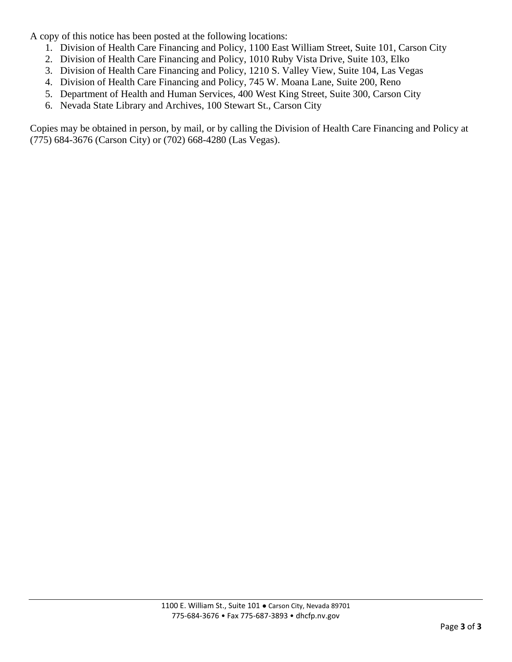A copy of this notice has been posted at the following locations:

- 1. Division of Health Care Financing and Policy, 1100 East William Street, Suite 101, Carson City
- 2. Division of Health Care Financing and Policy, 1010 Ruby Vista Drive, Suite 103, Elko
- 3. Division of Health Care Financing and Policy, 1210 S. Valley View, Suite 104, Las Vegas
- 4. Division of Health Care Financing and Policy, 745 W. Moana Lane, Suite 200, Reno
- 5. Department of Health and Human Services, 400 West King Street, Suite 300, Carson City
- 6. Nevada State Library and Archives, 100 Stewart St., Carson City

Copies may be obtained in person, by mail, or by calling the Division of Health Care Financing and Policy at (775) 684-3676 (Carson City) or (702) 668-4280 (Las Vegas).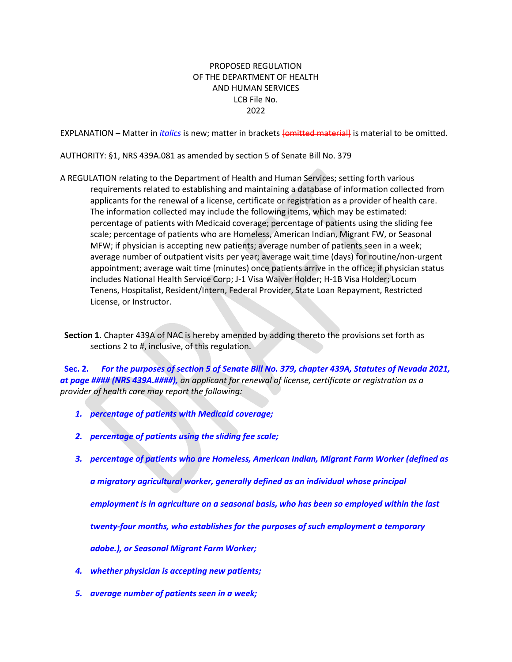#### PROPOSED REGULATION OF THE DEPARTMENT OF HEALTH AND HUMAN SERVICES LCB File No. 2022

EXPLANATION – Matter in *italics* is new; matter in brackets [omitted material] is material to be omitted.

AUTHORITY: §1, NRS 439A.081 as amended by section 5 of Senate Bill No. 379

A REGULATION relating to the Department of Health and Human Services; setting forth various requirements related to establishing and maintaining a database of information collected from applicants for the renewal of a license, certificate or registration as a provider of health care. The information collected may include the following items, which may be estimated: percentage of patients with Medicaid coverage; percentage of patients using the sliding fee scale; percentage of patients who are Homeless, American Indian, Migrant FW, or Seasonal MFW; if physician is accepting new patients; average number of patients seen in a week; average number of outpatient visits per year; average wait time (days) for routine/non-urgent appointment; average wait time (minutes) once patients arrive in the office; if physician status includes National Health Service Corp; J-1 Visa Waiver Holder; H-1B Visa Holder; Locum Tenens, Hospitalist, Resident/Intern, Federal Provider, State Loan Repayment, Restricted License, or Instructor.

 **Section 1.** Chapter 439A of NAC is hereby amended by adding thereto the provisions set forth as sections 2 to #, inclusive, of this regulation.

 **Sec. 2.** *For the purposes of section 5 of Senate Bill No. 379, chapter 439A, Statutes of Nevada 2021, at page #### (NRS 439A.####), an applicant for renewal of license, certificate or registration as a provider of health care may report the following:*

- *1. percentage of patients with Medicaid coverage;*
- *2. percentage of patients using the sliding fee scale;*
- *3. percentage of patients who are Homeless, American Indian, Migrant Farm Worker (defined as*

*a migratory agricultural worker, generally defined as an individual whose principal*

*employment is in agriculture on a seasonal basis, who has been so employed within the last*

*twenty-four months, who establishes for the purposes of such employment a temporary*

*adobe.), or Seasonal Migrant Farm Worker;*

- *4. whether physician is accepting new patients;*
- *5. average number of patients seen in a week;*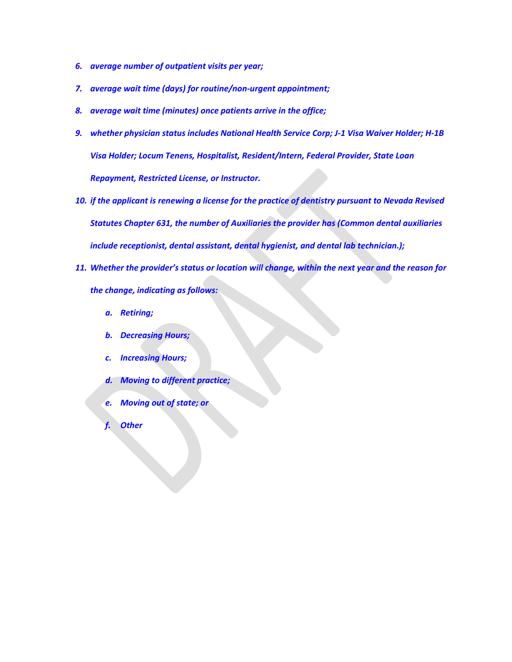- *6. average number of outpatient visits per year;*
- *7. average wait time (days) for routine/non-urgent appointment;*
- *8. average wait time (minutes) once patients arrive in the office;*
- *9. whether physician status includes National Health Service Corp; J-1 Visa Waiver Holder; H-1B Visa Holder; Locum Tenens, Hospitalist, Resident/Intern, Federal Provider, State Loan Repayment, Restricted License, or Instructor.*
- *10. if the applicant is renewing a license for the practice of dentistry pursuant to Nevada Revised Statutes Chapter 631, the number of Auxiliaries the provider has (Common dental auxiliaries include receptionist, dental assistant, dental hygienist, and dental lab technician.);*
- *11. Whether the provider's status or location will change, within the next year and the reason for the change, indicating as follows:*
	- *a. Retiring;*
	- *b. Decreasing Hours;*
	- *c. Increasing Hours;*
	- *d. Moving to different practice;*
	- *e. Moving out of state; or*
	- *f. Other*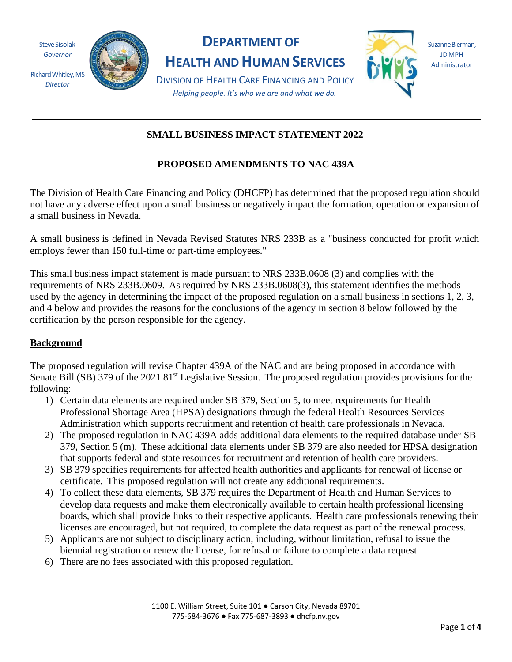

# **DEPARTMENT OF SUZANNE SUZANNE Bierman,**

**EXAMPLE AND HUMAN SERVICES Administrator** 



**IDMPH** 

 *Helping people. It's who we are and what we do.*  Richard Whitley, MS<br>*Director* **DIVISION OF HEALTH CARE FINANCING AND POLICY** 

# **SMALL BUSINESS IMPACT STATEMENT 2022**

# **PROPOSED AMENDMENTS TO NAC 439A**

The Division of Health Care Financing and Policy (DHCFP) has determined that the proposed regulation should not have any adverse effect upon a small business or negatively impact the formation, operation or expansion of a small business in Nevada.

A small business is defined in Nevada Revised Statutes NRS 233B as a "business conducted for profit which employs fewer than 150 full-time or part-time employees."

This small business impact statement is made pursuant to NRS 233B.0608 (3) and complies with the requirements of NRS 233B.0609. As required by NRS 233B.0608(3), this statement identifies the methods used by the agency in determining the impact of the proposed regulation on a small business in sections 1, 2, 3, and 4 below and provides the reasons for the conclusions of the agency in section 8 below followed by the certification by the person responsible for the agency.

## **Background**

The proposed regulation will revise Chapter 439A of the NAC and are being proposed in accordance with Senate Bill (SB) 379 of the 2021 81<sup>st</sup> Legislative Session. The proposed regulation provides provisions for the following:

- 1) Certain data elements are required under SB 379, Section 5, to meet requirements for Health Professional Shortage Area (HPSA) designations through the federal Health Resources Services Administration which supports recruitment and retention of health care professionals in Nevada.
- 2) The proposed regulation in NAC 439A adds additional data elements to the required database under SB 379, Section 5 (m). These additional data elements under SB 379 are also needed for HPSA designation that supports federal and state resources for recruitment and retention of health care providers.
- 3) SB 379 specifies requirements for affected health authorities and applicants for renewal of license or certificate. This proposed regulation will not create any additional requirements.
- 4) To collect these data elements, SB 379 requires the Department of Health and Human Services to develop data requests and make them electronically available to certain health professional licensing boards, which shall provide links to their respective applicants. Health care professionals renewing their licenses are encouraged, but not required, to complete the data request as part of the renewal process.
- 5) Applicants are not subject to disciplinary action, including, without limitation, refusal to issue the biennial registration or renew the license, for refusal or failure to complete a data request.
- 6) There are no fees associated with this proposed regulation.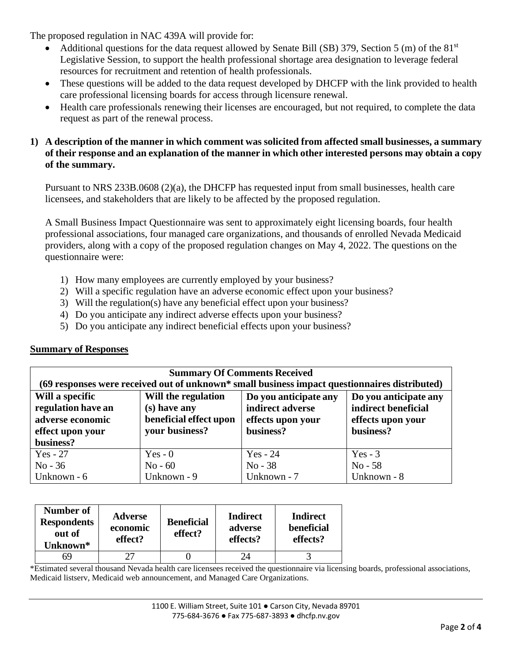The proposed regulation in NAC 439A will provide for:

- Additional questions for the data request allowed by Senate Bill (SB) 379, Section 5 (m) of the 81<sup>st</sup> Legislative Session, to support the health professional shortage area designation to leverage federal resources for recruitment and retention of health professionals.
- These questions will be added to the data request developed by DHCFP with the link provided to health care professional licensing boards for access through licensure renewal.
- Health care professionals renewing their licenses are encouraged, but not required, to complete the data request as part of the renewal process.

## **1) A description of the manner in which comment was solicited from affected small businesses, a summary of their response and an explanation of the manner in which other interested persons may obtain a copy of the summary.**

Pursuant to NRS 233B.0608 (2)(a), the DHCFP has requested input from small businesses, health care licensees, and stakeholders that are likely to be affected by the proposed regulation.

A Small Business Impact Questionnaire was sent to approximately eight licensing boards, four health professional associations, four managed care organizations, and thousands of enrolled Nevada Medicaid providers, along with a copy of the proposed regulation changes on May 4, 2022. The questions on the questionnaire were:

- 1) How many employees are currently employed by your business?
- 2) Will a specific regulation have an adverse economic effect upon your business?
- 3) Will the regulation(s) have any beneficial effect upon your business?
- 4) Do you anticipate any indirect adverse effects upon your business?
- 5) Do you anticipate any indirect beneficial effects upon your business?

#### **Summary of Responses**

| <b>Summary Of Comments Received</b>                                                           |                                                                                 |                                                                             |                                                                                |  |  |  |  |
|-----------------------------------------------------------------------------------------------|---------------------------------------------------------------------------------|-----------------------------------------------------------------------------|--------------------------------------------------------------------------------|--|--|--|--|
| (69 responses were received out of unknown* small business impact questionnaires distributed) |                                                                                 |                                                                             |                                                                                |  |  |  |  |
| Will a specific<br>regulation have an<br>adverse economic<br>effect upon your                 | Will the regulation<br>(s) have any<br>beneficial effect upon<br>your business? | Do you anticipate any<br>indirect adverse<br>effects upon your<br>business? | Do you anticipate any<br>indirect beneficial<br>effects upon your<br>business? |  |  |  |  |
| business?                                                                                     |                                                                                 |                                                                             |                                                                                |  |  |  |  |
| $Yes - 27$                                                                                    | Yes - $0$                                                                       | $Yes - 24$                                                                  | Yes $-3$                                                                       |  |  |  |  |
| $No - 36$                                                                                     | $No - 60$                                                                       | $No - 38$                                                                   | $No - 58$                                                                      |  |  |  |  |
| Unknown - 6                                                                                   | Unknown - 9                                                                     | Unknown - 7                                                                 | Unknown - 8                                                                    |  |  |  |  |

| Number of<br><b>Respondents</b><br>out of<br>Unknown* | <b>Adverse</b><br>economic<br>effect? | <b>Beneficial</b><br>effect? | Indirect<br>adverse<br>effects? | Indirect<br>beneficial<br>effects? |
|-------------------------------------------------------|---------------------------------------|------------------------------|---------------------------------|------------------------------------|
| 69                                                    |                                       |                              |                                 |                                    |

\*Estimated several thousand Nevada health care licensees received the questionnaire via licensing boards, professional associations, Medicaid listserv, Medicaid web announcement, and Managed Care Organizations.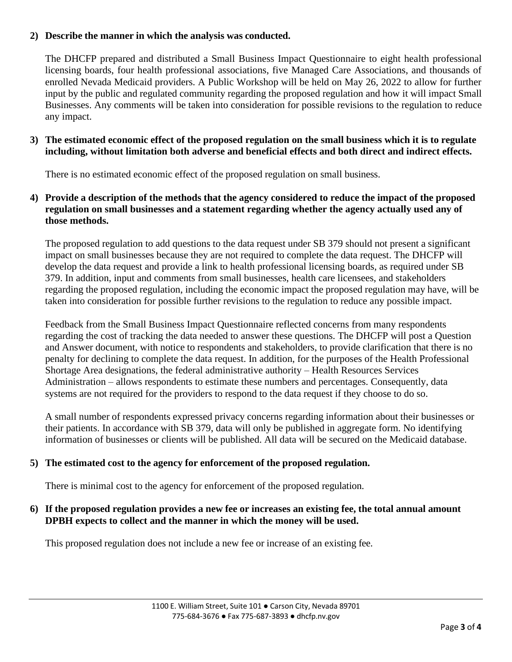## **2) Describe the manner in which the analysis was conducted.**

The DHCFP prepared and distributed a Small Business Impact Questionnaire to eight health professional licensing boards, four health professional associations, five Managed Care Associations, and thousands of enrolled Nevada Medicaid providers. A Public Workshop will be held on May 26, 2022 to allow for further input by the public and regulated community regarding the proposed regulation and how it will impact Small Businesses. Any comments will be taken into consideration for possible revisions to the regulation to reduce any impact.

### **3) The estimated economic effect of the proposed regulation on the small business which it is to regulate including, without limitation both adverse and beneficial effects and both direct and indirect effects.**

There is no estimated economic effect of the proposed regulation on small business.

## **4) Provide a description of the methods that the agency considered to reduce the impact of the proposed regulation on small businesses and a statement regarding whether the agency actually used any of those methods.**

The proposed regulation to add questions to the data request under SB 379 should not present a significant impact on small businesses because they are not required to complete the data request. The DHCFP will develop the data request and provide a link to health professional licensing boards, as required under SB 379. In addition, input and comments from small businesses, health care licensees, and stakeholders regarding the proposed regulation, including the economic impact the proposed regulation may have, will be taken into consideration for possible further revisions to the regulation to reduce any possible impact.

Feedback from the Small Business Impact Questionnaire reflected concerns from many respondents regarding the cost of tracking the data needed to answer these questions. The DHCFP will post a Question and Answer document, with notice to respondents and stakeholders, to provide clarification that there is no penalty for declining to complete the data request. In addition, for the purposes of the Health Professional Shortage Area designations, the federal administrative authority – Health Resources Services Administration – allows respondents to estimate these numbers and percentages. Consequently, data systems are not required for the providers to respond to the data request if they choose to do so.

A small number of respondents expressed privacy concerns regarding information about their businesses or their patients. In accordance with SB 379, data will only be published in aggregate form. No identifying information of businesses or clients will be published. All data will be secured on the Medicaid database.

#### **5) The estimated cost to the agency for enforcement of the proposed regulation.**

There is minimal cost to the agency for enforcement of the proposed regulation.

#### **6) If the proposed regulation provides a new fee or increases an existing fee, the total annual amount DPBH expects to collect and the manner in which the money will be used.**

This proposed regulation does not include a new fee or increase of an existing fee.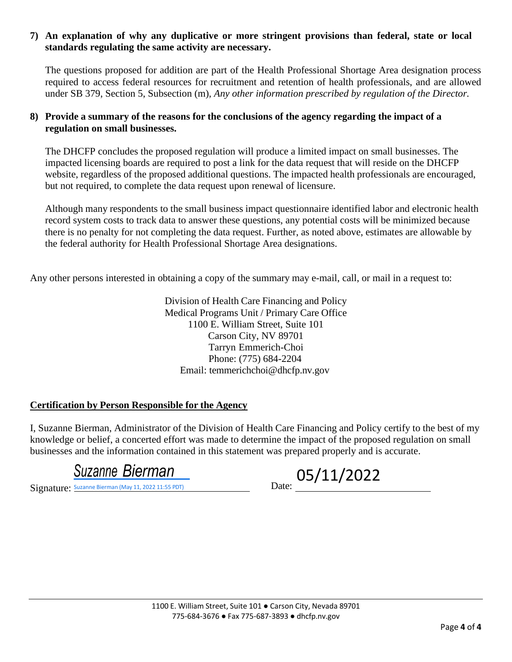#### **7) An explanation of why any duplicative or more stringent provisions than federal, state or local standards regulating the same activity are necessary.**

The questions proposed for addition are part of the Health Professional Shortage Area designation process required to access federal resources for recruitment and retention of health professionals, and are allowed under SB 379, Section 5, Subsection (m), *Any other information prescribed by regulation of the Director.* 

### **8) Provide a summary of the reasons for the conclusions of the agency regarding the impact of a regulation on small businesses.**

The DHCFP concludes the proposed regulation will produce a limited impact on small businesses. The impacted licensing boards are required to post a link for the data request that will reside on the DHCFP website, regardless of the proposed additional questions. The impacted health professionals are encouraged, but not required, to complete the data request upon renewal of licensure.

Although many respondents to the small business impact questionnaire identified labor and electronic health record system costs to track data to answer these questions, any potential costs will be minimized because there is no penalty for not completing the data request. Further, as noted above, estimates are allowable by the federal authority for Health Professional Shortage Area designations.

Any other persons interested in obtaining a copy of the summary may e-mail, call, or mail in a request to:

Division of Health Care Financing and Policy Medical Programs Unit / Primary Care Office 1100 E. William Street, Suite 101 Carson City, NV 89701 Tarryn Emmerich-Choi Phone: (775) 684-2204 Email: [temmerichchoi@dhcfp.nv.gov](mailto:temmerichchoi@dhcfp.nv.gov) 

#### **Certification by Person Responsible for the Agency**

I, Suzanne Bierman, Administrator of the Division of Health Care Financing and Policy certify to the best of my knowledge or belief, a concerted effort was made to determine the impact of the proposed regulation on small businesses and the information contained in this statement was prepared properly and is accurate.

Signature: Suzanne Bierman (May 11, 2022 11:55 PDT)

**[Suzanne Bierman](https://microsoftintegration.na2.echosign.com/verifier?tx=CBJCHBCAABAA1pB91Vcs9thePBoqa_XChhBSovDxXpxm) (May 11, 2022 11:55 PDT)**<br> **Suzanne Bierman (May 11, 2022 11:55 PDT)**<br>
Date: <u>O5/11/2022</u>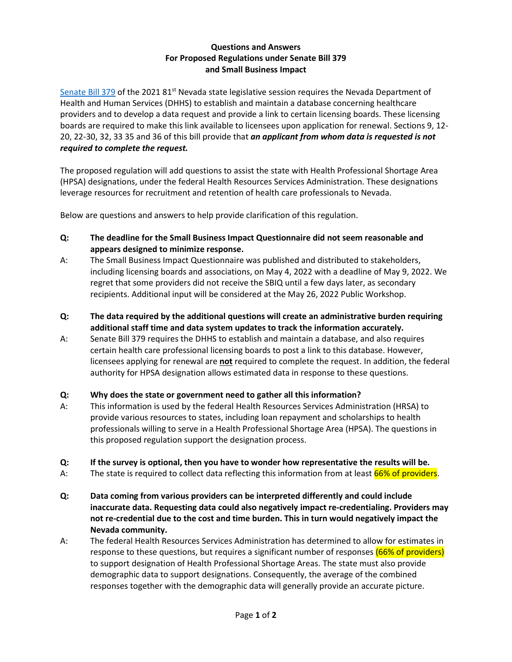#### **Questions and Answers For Proposed Regulations under Senate Bill 379 and Small Business Impact**

[Senate Bill 379](https://www.leg.state.nv.us/App/NELIS/REL/81st2021/Bill/8066/Text) of the 2021 81<sup>st</sup> Nevada state legislative session requires the Nevada Department of Health and Human Services (DHHS) to establish and maintain a database concerning healthcare providers and to develop a data request and provide a link to certain licensing boards. These licensing boards are required to make this link available to licensees upon application for renewal. Sections 9, 12- 20, 22-30, 32, 33 35 and 36 of this bill provide that *an applicant from whom data is requested is not required to complete the request.*

The proposed regulation will add questions to assist the state with Health Professional Shortage Area (HPSA) designations, under the federal Health Resources Services Administration. These designations leverage resources for recruitment and retention of health care professionals to Nevada.

Below are questions and answers to help provide clarification of this regulation.

- **Q: The deadline for the Small Business Impact Questionnaire did not seem reasonable and appears designed to minimize response.**
- A: The Small Business Impact Questionnaire was published and distributed to stakeholders, including licensing boards and associations, on May 4, 2022 with a deadline of May 9, 2022. We regret that some providers did not receive the SBIQ until a few days later, as secondary recipients. Additional input will be considered at the May 26, 2022 Public Workshop.
- **Q: The data required by the additional questions will create an administrative burden requiring additional staff time and data system updates to track the information accurately.**
- A: Senate Bill 379 requires the DHHS to establish and maintain a database, and also requires certain health care professional licensing boards to post a link to this database. However, licensees applying for renewal are **not** required to complete the request. In addition, the federal authority for HPSA designation allows estimated data in response to these questions.

#### **Q: Why does the state or government need to gather all this information?**

A: This information is used by the federal Health Resources Services Administration (HRSA) to provide various resources to states, including loan repayment and scholarships to health professionals willing to serve in a Health Professional Shortage Area (HPSA). The questions in this proposed regulation support the designation process.

#### **Q: If the survey is optional, then you have to wonder how representative the results will be.**

- A: The state is required to collect data reflecting this information from at least 66% of providers.
- **Q: Data coming from various providers can be interpreted differently and could include inaccurate data. Requesting data could also negatively impact re-credentialing. Providers may not re-credential due to the cost and time burden. This in turn would negatively impact the Nevada community.**
- A: The federal Health Resources Services Administration has determined to allow for estimates in response to these questions, but requires a significant number of responses (66% of providers) to support designation of Health Professional Shortage Areas. The state must also provide demographic data to support designations. Consequently, the average of the combined responses together with the demographic data will generally provide an accurate picture.